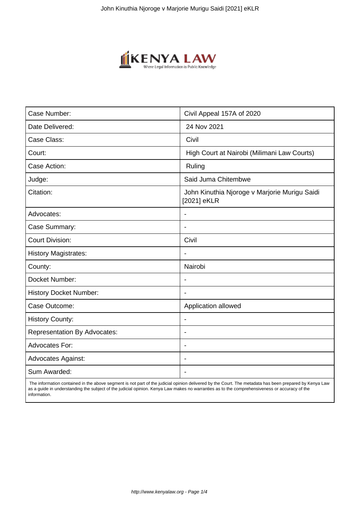

| Case Number:                        | Civil Appeal 157A of 2020                                    |
|-------------------------------------|--------------------------------------------------------------|
| Date Delivered:                     | 24 Nov 2021                                                  |
| Case Class:                         | Civil                                                        |
| Court:                              | High Court at Nairobi (Milimani Law Courts)                  |
| Case Action:                        | Ruling                                                       |
| Judge:                              | Said Juma Chitembwe                                          |
| Citation:                           | John Kinuthia Njoroge v Marjorie Murigu Saidi<br>[2021] eKLR |
| Advocates:                          |                                                              |
| Case Summary:                       | $\blacksquare$                                               |
| <b>Court Division:</b>              | Civil                                                        |
| <b>History Magistrates:</b>         | $\blacksquare$                                               |
| County:                             | Nairobi                                                      |
| Docket Number:                      |                                                              |
| <b>History Docket Number:</b>       | $\blacksquare$                                               |
| Case Outcome:                       | Application allowed                                          |
| <b>History County:</b>              | $\overline{\phantom{a}}$                                     |
| <b>Representation By Advocates:</b> | $\overline{\phantom{a}}$                                     |
| Advocates For:                      | $\overline{\phantom{a}}$                                     |
| <b>Advocates Against:</b>           | $\blacksquare$                                               |
| Sum Awarded:                        |                                                              |

 The information contained in the above segment is not part of the judicial opinion delivered by the Court. The metadata has been prepared by Kenya Law as a guide in understanding the subject of the judicial opinion. Kenya Law makes no warranties as to the comprehensiveness or accuracy of the information.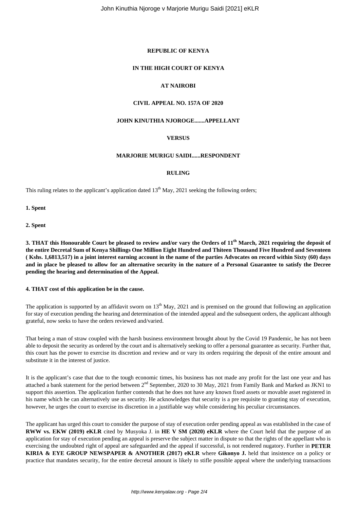# **REPUBLIC OF KENYA**

# **IN THE HIGH COURT OF KENYA**

# **AT NAIROBI**

# **CIVIL APPEAL NO. 157A OF 2020**

#### **JOHN KINUTHIA NJOROGE.......APPELLANT**

## **VERSUS**

#### **MARJORIE MURIGU SAIDI......RESPONDENT**

#### **RULING**

This ruling relates to the applicant's application dated  $13<sup>th</sup>$  May, 2021 seeking the following orders;

**1. Spent**

**2. Spent**

**3. THAT this Honourable Court be pleased to review and/or vary the Orders of 11th March, 2021 requiring the deposit of the entire Decretal Sum of Kenya Shillings One Million Eight Hundred and Thiteen Thousand Five Hundred and Seventeen ( Kshs. 1,6813,517) in a joint interest earning account in the name of the parties Advocates on record within Sixty (60) days and in place be pleased to allow for an alternative security in the nature of a Personal Guarantee to satisfy the Decree pending the hearing and determination of the Appeal.** 

#### **4. THAT cost of this application be in the cause.**

The application is supported by an affidavit sworn on  $13<sup>th</sup>$  May, 2021 and is premised on the ground that following an application for stay of execution pending the hearing and determination of the intended appeal and the subsequent orders, the applicant although grateful, now seeks to have the orders reviewed and/varied.

That being a man of straw coupled with the harsh business environment brought about by the Covid 19 Pandemic, he has not been able to deposit the security as ordered by the court and is alternatively seeking to offer a personal guarantee as security. Further that, this court has the power to exercise its discretion and review and or vary its orders requiring the deposit of the entire amount and substitute it in the interest of justice.

It is the applicant's case that due to the tough economic times, his business has not made any profit for the last one year and has attached a bank statement for the period between 2nd September, 2020 to 30 May, 2021 from Family Bank and Marked as JKN1 to support this assertion. The application further contends that he does not have any known fixed assets or movable asset registered in his name which he can alternatively use as security. He acknowledges that security is a pre requisite to granting stay of execution, however, he urges the court to exercise its discretion in a justifiable way while considering his peculiar circumstances.

The applicant has urged this court to consider the purpose of stay of execution order pending appeal as was established in the case of **RWW vs. EKW (2019) eKLR** cited by Musyoka J. in **HE V SM (2020) eKLR** where the Court held that the purpose of an application for stay of execution pending an appeal is preserve the subject matter in dispute so that the rights of the appellant who is exercising the undoubted right of appeal are safeguarded and the appeal if successful, is not rendered nugatory. Further in **PETER KIRIA & EYE GROUP NEWSPAPER & ANOTHER (2017) eKLR** where **Gikonyo J.** held that insistence on a policy or practice that mandates security, for the entire decretal amount is likely to stifle possible appeal where the underlying transactions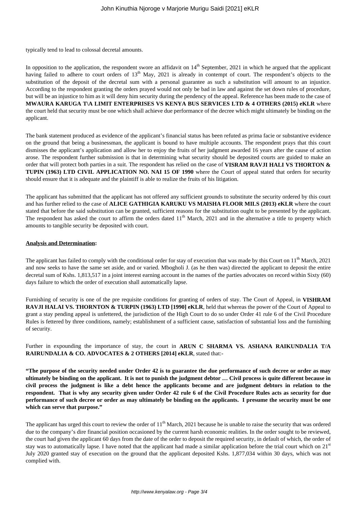typically tend to lead to colossal decretal amounts.

In opposition to the application, the respondent swore an affidavit on  $14<sup>th</sup>$  September, 2021 in which he argued that the applicant having failed to adhere to court orders of 13<sup>th</sup> May, 2021 is already in contempt of court. The respondent's objects to the substitution of the deposit of the decretal sum with a personal guarantee as such a substitution will amount to an injustice. According to the respondent granting the orders prayed would not only be bad in law and against the set down rules of procedure, but will be an injustice to him as it will deny him security during the pendency of the appeal. Reference has been made to the case of **MWAURA KARUGA T\A LIMIT ENTERPRISES VS KENYA BUS SERVICES LTD & 4 OTHERS (2015) eKLR** where the court held that security must be one which shall achieve due performance of the decree which might ultimately be binding on the applicant.

The bank statement produced as evidence of the applicant's financial status has been refuted as prima facie or substantive evidence on the ground that being a businessman, the applicant is bound to have multiple accounts. The respondent prays that this court dismisses the applicant's application and allow her to enjoy the fruits of her judgment awarded 16 years after the cause of action arose. The respondent further submission is that in determining what security should be deposited courts are guided to make an order that will protect both parties in a suit. The respondent has relied on the case of **VISRAM RAVJI HALI VS THORTON & TUPIN (1963) LTD CIVIL APPLICATION NO. NAI 15 OF 1990** where the Court of appeal stated that orders for security should ensure that it is adequate and the plaintiff is able to realize the fruits of his litigation.

The applicant has submitted that the applicant has not offered any sufficient grounds to substitute the security ordered by this court and has further relied to the case of **ALICE GATHIGIA KARUKU VS MAISHA FLOOR MILS (2013) eKLR** where the court stated that before the said substitution can be granted, sufficient reasons for the substitution ought to be presented by the applicant. The respondent has asked the court to affirm the orders dated 11<sup>th</sup> March, 2021 and in the alternative a title to property which amounts to tangible security be deposited with court.

### **Analysis and Determination:**

The applicant has failed to comply with the conditional order for stay of execution that was made by this Court on  $11<sup>th</sup>$  March, 2021 and now seeks to have the same set aside, and or varied. Mbogholi J. (as he then was) directed the applicant to deposit the entire decretal sum of Kshs. 1,813,517 in a joint interest earning account in the names of the parties advocates on record within Sixty (60) days failure to which the order of execution shall automatically lapse.

Furnishing of security is one of the pre requisite conditions for granting of orders of stay. The Court of Appeal, in **VISHRAM RAVJI HALAI VS. THORNTON & TURPIN (1963) LTD [1990] eKLR**, held that whereas the power of the Court of Appeal to grant a stay pending appeal is unfettered, the jurisdiction of the High Court to do so under Order 41 rule 6 of the Civil Procedure Rules is fettered by three conditions, namely; establishment of a sufficient cause, satisfaction of substantial loss and the furnishing of security.

Further in expounding the importance of stay, the court in **ARUN C SHARMA VS. ASHANA RAIKUNDALIA T/A RAIRUNDALIA & CO. ADVOCATES & 2 OTHERS [2014] eKLR**, stated that:-

**"The purpose of the security needed under Order 42 is to guarantee the due performance of such decree or order as may ultimately be binding on the applicant. It is not to punish the judgment debtor … Civil process is quite different because in civil process the judgment is like a debt hence the applicants become and are judgment debtors in relation to the respondent. That is why any security given under Order 42 rule 6 of the Civil Procedure Rules acts as security for due performance of such decree or order as may ultimately be binding on the applicants. I presume the security must be one which can serve that purpose."**

The applicant has urged this court to review the order of  $11<sup>th</sup>$  March, 2021 because he is unable to raise the security that was ordered due to the company's dire financial position occasioned by the current harsh economic realities. In the order sought to be reviewed, the court had given the applicant 60 days from the date of the order to deposit the required security, in default of which, the order of stay was to automatically lapse. I have noted that the applicant had made a similar application before the trial court which on  $21<sup>st</sup>$ July 2020 granted stay of execution on the ground that the applicant deposited Kshs. 1,877,034 within 30 days, which was not complied with.